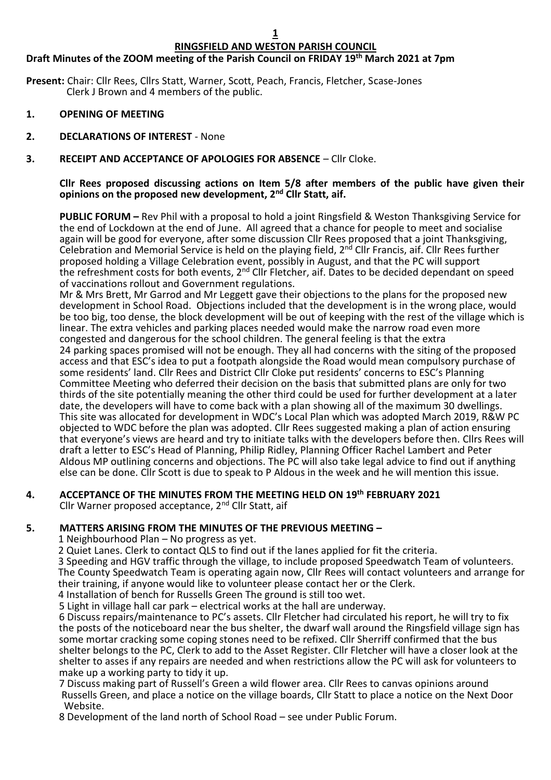# **RINGSFIELD AND WESTON PARISH COUNCIL**

# **Draft Minutes of the ZOOM meeting of the Parish Council on FRIDAY 19th March 2021 at 7pm**

**Present:** Chair: Cllr Rees, Cllrs Statt, Warner, Scott, Peach, Francis, Fletcher, Scase-Jones Clerk J Brown and 4 members of the public.

- **1. OPENING OF MEETING**
- **2. DECLARATIONS OF INTEREST** None
- **3. RECEIPT AND ACCEPTANCE OF APOLOGIES FOR ABSENCE** Cllr Cloke.

#### **Cllr Rees proposed discussing actions on Item 5/8 after members of the public have given their opinions on the proposed new development, 2 nd Cllr Statt, aif.**

**PUBLIC FORUM –** Rev Phil with a proposal to hold a joint Ringsfield & Weston Thanksgiving Service for the end of Lockdown at the end of June. All agreed that a chance for people to meet and socialise again will be good for everyone, after some discussion Cllr Rees proposed that a joint Thanksgiving, Celebration and Memorial Service is held on the playing field, 2<sup>nd</sup> Cllr Francis, aif. Cllr Rees further proposed holding a Village Celebration event, possibly in August, and that the PC will support the refreshment costs for both events, 2<sup>nd</sup> Cllr Fletcher, aif. Dates to be decided dependant on speed of vaccinations rollout and Government regulations.

Mr & Mrs Brett, Mr Garrod and Mr Leggett gave their objections to the plans for the proposed new development in School Road. Objections included that the development is in the wrong place, would be too big, too dense, the block development will be out of keeping with the rest of the village which is linear. The extra vehicles and parking places needed would make the narrow road even more congested and dangerous for the school children. The general feeling is that the extra 24 parking spaces promised will not be enough. They all had concerns with the siting of the proposed access and that ESC's idea to put a footpath alongside the Road would mean compulsory purchase of some residents' land. Cllr Rees and District Cllr Cloke put residents' concerns to ESC's Planning Committee Meeting who deferred their decision on the basis that submitted plans are only for two thirds of the site potentially meaning the other third could be used for further development at a later date, the developers will have to come back with a plan showing all of the maximum 30 dwellings. This site was allocated for development in WDC's Local Plan which was adopted March 2019, R&W PC objected to WDC before the plan was adopted. Cllr Rees suggested making a plan of action ensuring that everyone's views are heard and try to initiate talks with the developers before then. Cllrs Rees will draft a letter to ESC's Head of Planning, Philip Ridley, Planning Officer Rachel Lambert and Peter Aldous MP outlining concerns and objections. The PC will also take legal advice to find out if anything else can be done. Cllr Scott is due to speak to P Aldous in the week and he will mention this issue.

# **4. ACCEPTANCE OF THE MINUTES FROM THE MEETING HELD ON 19th FEBRUARY 2021**

Cllr Warner proposed acceptance, 2nd Cllr Statt, aif

#### **5. MATTERS ARISING FROM THE MINUTES OF THE PREVIOUS MEETING –**

1 Neighbourhood Plan – No progress as yet.

2 Quiet Lanes. Clerk to contact QLS to find out if the lanes applied for fit the criteria.

3 Speeding and HGV traffic through the village, to include proposed Speedwatch Team of volunteers. The County Speedwatch Team is operating again now, Cllr Rees will contact volunteers and arrange for their training, if anyone would like to volunteer please contact her or the Clerk.

4 Installation of bench for Russells Green The ground is still too wet.

5 Light in village hall car park – electrical works at the hall are underway.

 6 Discuss repairs/maintenance to PC's assets. Cllr Fletcher had circulated his report, he will try to fix the posts of the noticeboard near the bus shelter, the dwarf wall around the Ringsfield village sign has some mortar cracking some coping stones need to be refixed. Cllr Sherriff confirmed that the bus shelter belongs to the PC, Clerk to add to the Asset Register. Cllr Fletcher will have a closer look at the shelter to asses if any repairs are needed and when restrictions allow the PC will ask for volunteers to make up a working party to tidy it up.

 7 Discuss making part of Russell's Green a wild flower area. Cllr Rees to canvas opinions around Russells Green, and place a notice on the village boards, Cllr Statt to place a notice on the Next Door Website.

8 Development of the land north of School Road – see under Public Forum.